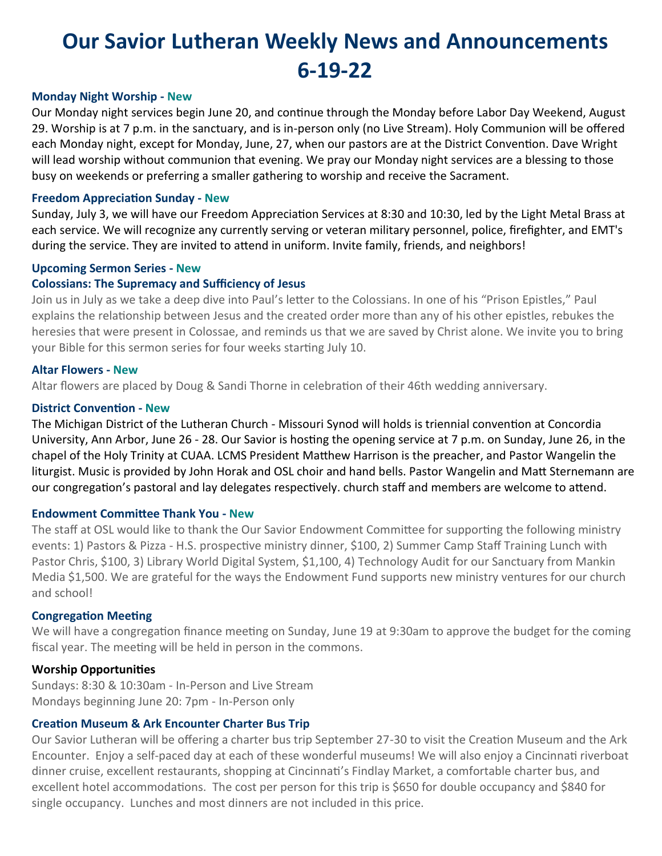# **Our Savior Lutheran Weekly News and Announcements 6-19-22**

### **Monday Night Worship - New**

Our Monday night services begin June 20, and continue through the Monday before Labor Day Weekend, August 29. Worship is at 7 p.m. in the sanctuary, and is in-person only (no Live Stream). Holy Communion will be offered each Monday night, except for Monday, June, 27, when our pastors are at the District Convention. Dave Wright will lead worship without communion that evening. We pray our Monday night services are a blessing to those busy on weekends or preferring a smaller gathering to worship and receive the Sacrament.

## **Freedom Appreciation Sunday - New**

Sunday, July 3, we will have our Freedom Appreciation Services at 8:30 and 10:30, led by the Light Metal Brass at each service. We will recognize any currently serving or veteran military personnel, police, firefighter, and EMT's during the service. They are invited to attend in uniform. Invite family, friends, and neighbors!

## **Upcoming Sermon Series - New**

## **Colossians: The Supremacy and Sufficiency of Jesus**

Join us in July as we take a deep dive into Paul's letter to the Colossians. In one of his "Prison Epistles," Paul explains the relationship between Jesus and the created order more than any of his other epistles, rebukes the heresies that were present in Colossae, and reminds us that we are saved by Christ alone. We invite you to bring your Bible for this sermon series for four weeks starting July 10.

## **Altar Flowers - New**

Altar flowers are placed by Doug & Sandi Thorne in celebration of their 46th wedding anniversary.

#### **District Convention - New**

The Michigan District of the Lutheran Church - Missouri Synod will holds is triennial convention at Concordia University, Ann Arbor, June 26 - 28. Our Savior is hosting the opening service at 7 p.m. on Sunday, June 26, in the chapel of the Holy Trinity at CUAA. LCMS President Matthew Harrison is the preacher, and Pastor Wangelin the liturgist. Music is provided by John Horak and OSL choir and hand bells. Pastor Wangelin and Matt Sternemann are our congregation's pastoral and lay delegates respectively. church staff and members are welcome to attend.

# **Endowment Committee Thank You - New**

The staff at OSL would like to thank the Our Savior Endowment Committee for supporting the following ministry events: 1) Pastors & Pizza - H.S. prospective ministry dinner, \$100, 2) Summer Camp Staff Training Lunch with Pastor Chris, \$100, 3) Library World Digital System, \$1,100, 4) Technology Audit for our Sanctuary from Mankin Media \$1,500. We are grateful for the ways the Endowment Fund supports new ministry ventures for our church and school!

## **Congregation Meeting**

We will have a congregation finance meeting on Sunday, June 19 at 9:30am to approve the budget for the coming fiscal year. The meeting will be held in person in the commons.

#### **Worship Opportunities**

Sundays: 8:30 & 10:30am - In-Person and Live Stream Mondays beginning June 20: 7pm - In-Person only

## **Creation Museum & Ark Encounter Charter Bus Trip**

Our Savior Lutheran will be offering a charter bus trip September 27-30 to visit the Creation Museum and the Ark Encounter. Enjoy a self-paced day at each of these wonderful museums! We will also enjoy a Cincinnati riverboat dinner cruise, excellent restaurants, shopping at Cincinnati's Findlay Market, a comfortable charter bus, and excellent hotel accommodations. The cost per person for this trip is \$650 for double occupancy and \$840 for single occupancy. Lunches and most dinners are not included in this price.